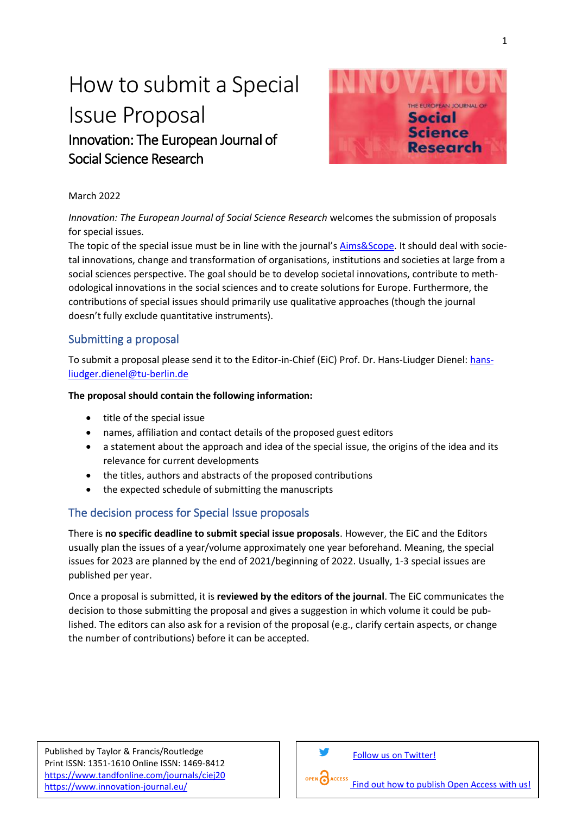# How to submit a Special Issue Proposal Innovation: The European Journal of Social Science Research



#### March 2022

*Innovation: The European Journal of Social Science Research* welcomes the submission of proposals for special issues.

The topic of the special issue must be in line with the journal's [Aims&Scope.](https://www.tandfonline.com/action/journalInformation?show=aimsScope&journalCode=ciej20) It should deal with societal innovations, change and transformation of organisations, institutions and societies at large from a social sciences perspective. The goal should be to develop societal innovations, contribute to methodological innovations in the social sciences and to create solutions for Europe. Furthermore, the contributions of special issues should primarily use qualitative approaches (though the journal doesn't fully exclude quantitative instruments).

#### Submitting a proposal

To submit a proposal please send it to the Editor-in-Chief (EiC) Prof. Dr. Hans-Liudger Dienel: [hans](mailto:hans-liudger.dienel@tu-berlin.de)[liudger.dienel@tu-berlin.de](mailto:hans-liudger.dienel@tu-berlin.de)

#### **The proposal should contain the following information:**

- title of the special issue
- names, affiliation and contact details of the proposed guest editors
- a statement about the approach and idea of the special issue, the origins of the idea and its relevance for current developments
- the titles, authors and abstracts of the proposed contributions
- the expected schedule of submitting the manuscripts

### The decision process for Special Issue proposals

There is **no specific deadline to submit special issue proposals**. However, the EiC and the Editors usually plan the issues of a year/volume approximately one year beforehand. Meaning, the special issues for 2023 are planned by the end of 2021/beginning of 2022. Usually, 1-3 special issues are published per year.

Once a proposal is submitted, it is **reviewed by the editors of the journal**. The EiC communicates the decision to those submitting the proposal and gives a suggestion in which volume it could be published. The editors can also ask for a revision of the proposal (e.g., clarify certain aspects, or change the number of contributions) before it can be accepted.

Published by Taylor & Francis/Routledge Print ISSN: 1351-1610 Online ISSN: 1469-8412 <https://www.tandfonline.com/journals/ciej20> <https://www.innovation-journal.eu/>